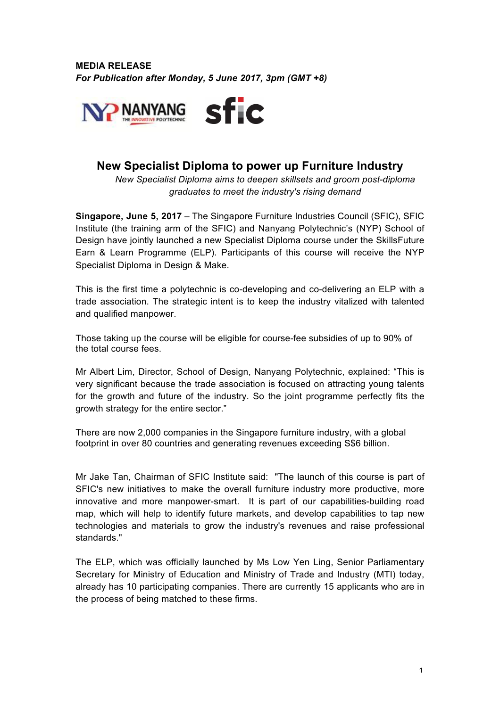

# **New Specialist Diploma to power up Furniture Industry**

*New Specialist Diploma aims to deepen skillsets and groom post-diploma graduates to meet the industry's rising demand* 

**Singapore, June 5, 2017** – The Singapore Furniture Industries Council (SFIC), SFIC Institute (the training arm of the SFIC) and Nanyang Polytechnic's (NYP) School of Design have jointly launched a new Specialist Diploma course under the SkillsFuture Earn & Learn Programme (ELP). Participants of this course will receive the NYP Specialist Diploma in Design & Make.

This is the first time a polytechnic is co-developing and co-delivering an ELP with a trade association. The strategic intent is to keep the industry vitalized with talented and qualified manpower.

Those taking up the course will be eligible for course-fee subsidies of up to 90% of the total course fees.

Mr Albert Lim, Director, School of Design, Nanyang Polytechnic, explained: "This is very significant because the trade association is focused on attracting young talents for the growth and future of the industry. So the joint programme perfectly fits the growth strategy for the entire sector."

There are now 2,000 companies in the Singapore furniture industry, with a global footprint in over 80 countries and generating revenues exceeding S\$6 billion.

Mr Jake Tan, Chairman of SFIC Institute said: "The launch of this course is part of SFIC's new initiatives to make the overall furniture industry more productive, more innovative and more manpower-smart. It is part of our capabilities-building road map, which will help to identify future markets, and develop capabilities to tap new technologies and materials to grow the industry's revenues and raise professional standards."

The ELP, which was officially launched by Ms Low Yen Ling, Senior Parliamentary Secretary for Ministry of Education and Ministry of Trade and Industry (MTI) today, already has 10 participating companies. There are currently 15 applicants who are in the process of being matched to these firms.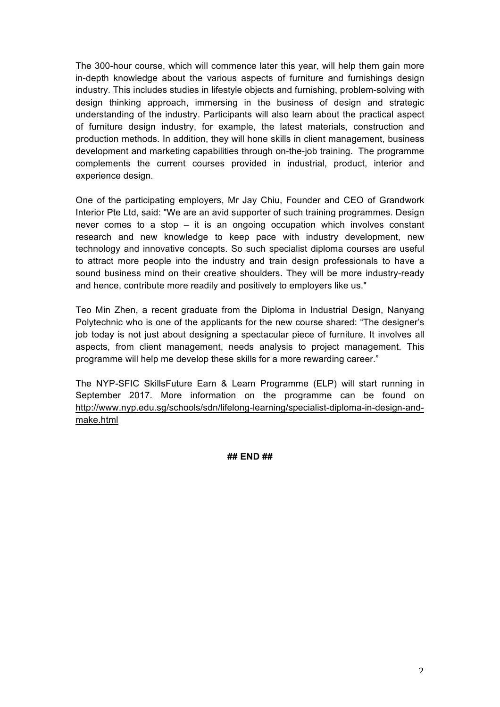The 300-hour course, which will commence later this year, will help them gain more in-depth knowledge about the various aspects of furniture and furnishings design industry. This includes studies in lifestyle objects and furnishing, problem-solving with design thinking approach, immersing in the business of design and strategic understanding of the industry. Participants will also learn about the practical aspect of furniture design industry, for example, the latest materials, construction and production methods. In addition, they will hone skills in client management, business development and marketing capabilities through on-the-job training. The programme complements the current courses provided in industrial, product, interior and experience design.

One of the participating employers, Mr Jay Chiu, Founder and CEO of Grandwork Interior Pte Ltd, said: "We are an avid supporter of such training programmes. Design never comes to a stop – it is an ongoing occupation which involves constant research and new knowledge to keep pace with industry development, new technology and innovative concepts. So such specialist diploma courses are useful to attract more people into the industry and train design professionals to have a sound business mind on their creative shoulders. They will be more industry-ready and hence, contribute more readily and positively to employers like us."

Teo Min Zhen, a recent graduate from the Diploma in Industrial Design, Nanyang Polytechnic who is one of the applicants for the new course shared: "The designer's job today is not just about designing a spectacular piece of furniture. It involves all aspects, from client management, needs analysis to project management. This programme will help me develop these skills for a more rewarding career."

The NYP-SFIC SkillsFuture Earn & Learn Programme (ELP) will start running in September 2017. More information on the programme can be found on http://www.nyp.edu.sg/schools/sdn/lifelong-learning/specialist-diploma-in-design-andmake.html

**## END ##**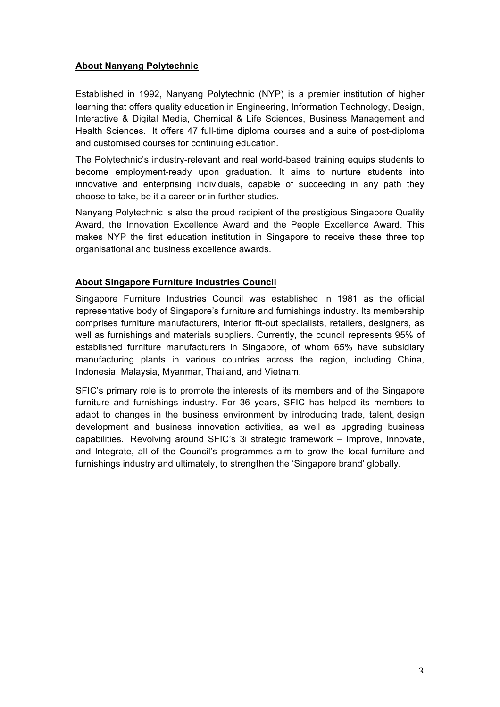# **About Nanyang Polytechnic**

Established in 1992, Nanyang Polytechnic (NYP) is a premier institution of higher learning that offers quality education in Engineering, Information Technology, Design, Interactive & Digital Media, Chemical & Life Sciences, Business Management and Health Sciences. It offers 47 full-time diploma courses and a suite of post-diploma and customised courses for continuing education.

The Polytechnic's industry-relevant and real world-based training equips students to become employment-ready upon graduation. It aims to nurture students into innovative and enterprising individuals, capable of succeeding in any path they choose to take, be it a career or in further studies.

Nanyang Polytechnic is also the proud recipient of the prestigious Singapore Quality Award, the Innovation Excellence Award and the People Excellence Award. This makes NYP the first education institution in Singapore to receive these three top organisational and business excellence awards.

# **About Singapore Furniture Industries Council**

Singapore Furniture Industries Council was established in 1981 as the official representative body of Singapore's furniture and furnishings industry. Its membership comprises furniture manufacturers, interior fit-out specialists, retailers, designers, as well as furnishings and materials suppliers. Currently, the council represents 95% of established furniture manufacturers in Singapore, of whom 65% have subsidiary manufacturing plants in various countries across the region, including China, Indonesia, Malaysia, Myanmar, Thailand, and Vietnam.

SFIC's primary role is to promote the interests of its members and of the Singapore furniture and furnishings industry. For 36 years, SFIC has helped its members to adapt to changes in the business environment by introducing trade, talent, design development and business innovation activities, as well as upgrading business capabilities. Revolving around SFIC's 3i strategic framework – Improve, Innovate, and Integrate, all of the Council's programmes aim to grow the local furniture and furnishings industry and ultimately, to strengthen the 'Singapore brand' globally.